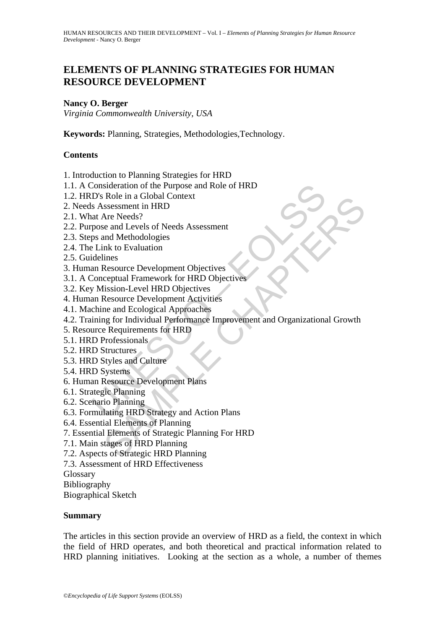## **ELEMENTS OF PLANNING STRATEGIES FOR HUMAN RESOURCE DEVELOPMENT**

#### **Nancy O. Berger**

*Virginia Commonwealth University, USA* 

**Keywords:** Planning, Strategies, Methodologies,Technology.

### **Contents**

- 1. Introduction to Planning Strategies for HRD
- 1.1. A Consideration of the Purpose and Role of HRD
- 1.2. HRD's Role in a Global Context
- 2. Needs Assessment in HRD
- 2.1. What Are Needs?
- 2.2. Purpose and Levels of Needs Assessment
- 2.3. Steps and Methodologies
- 2.4. The Link to Evaluation
- 2.5. Guidelines
- 3. Human Resource Development Objectives
- 3.1. A Conceptual Framework for HRD Objectives
- 3.2. Key Mission-Level HRD Objectives
- 4. Human Resource Development Activities
- 4.1. Machine and Ecological Approaches
- Consideration of the Purpose and Role of HRD<br>
D's Role in a Global Context<br>
S Assessment in HRD<br>
at Are Needs?<br>
pose and Levels of Needs Assessment<br>
ps and Methodologies<br>
Link to Evaluation<br>
and Resource Development Object Role in a Global Context<br>
Sesessment in HRD<br>
Are Needs?<br>
Sesessment in HRD<br>
Are Needs?<br>
e and Levels of Needs Assessment<br>
Ink to Evaluation<br>
Ink to Evaluation<br>
Inses<br>
Resource Development Objectives<br>
Resource Development A 4.2. Training for Individual Performance Improvement and Organizational Growth
- 5. Resource Requirements for HRD
- 5.1. HRD Professionals
- 5.2. HRD Structures
- 5.3. HRD Styles and Culture
- 5.4. HRD Systems
- 6. Human Resource Development Plans
- 6.1. Strategic Planning
- 6.2. Scenario Planning
- 6.3. Formulating HRD Strategy and Action Plans
- 6.4. Essential Elements of Planning
- 7. Essential Elements of Strategic Planning For HRD
- 7.1. Main stages of HRD Planning
- 7.2. Aspects of Strategic HRD Planning
- 7.3. Assessment of HRD Effectiveness
- Glossary
- Bibliography
- Biographical Sketch

#### **Summary**

The articles in this section provide an overview of HRD as a field, the context in which the field of HRD operates, and both theoretical and practical information related to HRD planning initiatives. Looking at the section as a whole, a number of themes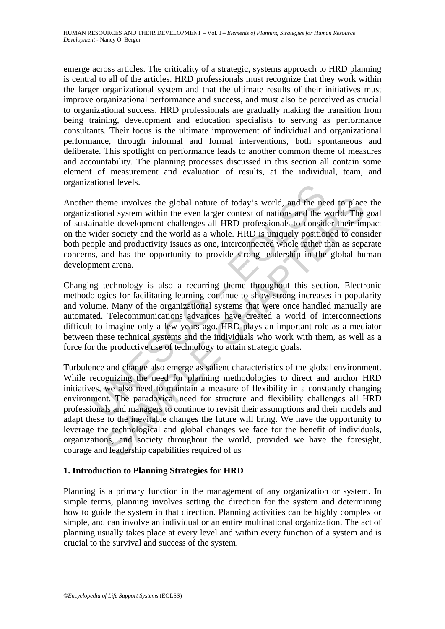emerge across articles. The criticality of a strategic, systems approach to HRD planning is central to all of the articles. HRD professionals must recognize that they work within the larger organizational system and that the ultimate results of their initiatives must improve organizational performance and success, and must also be perceived as crucial to organizational success. HRD professionals are gradually making the transition from being training, development and education specialists to serving as performance consultants. Their focus is the ultimate improvement of individual and organizational performance, through informal and formal interventions, both spontaneous and deliberate. This spotlight on performance leads to another common theme of measures and accountability. The planning processes discussed in this section all contain some element of measurement and evaluation of results, at the individual, team, and organizational levels.

ational revels.<br>
The me involves the global nature of today's world, and the neational system within the even larger context of nations and the winable development challenges all HRD professionals to consider society and t Another theme involves the global nature of today's world, and the need to place the organizational system within the even larger context of nations and the world. The goal of sustainable development challenges all HRD professionals to consider their impact on the wider society and the world as a whole. HRD is uniquely positioned to consider both people and productivity issues as one, interconnected whole rather than as separate concerns, and has the opportunity to provide strong leadership in the global human development arena.

Changing technology is also a recurring theme throughout this section. Electronic methodologies for facilitating learning continue to show strong increases in popularity and volume. Many of the organizational systems that were once handled manually are automated. Telecommunications advances have created a world of interconnections difficult to imagine only a few years ago. HRD plays an important role as a mediator between these technical systems and the individuals who work with them, as well as a force for the productive use of technology to attain strategic goals.

eme involves the global nature of today's world, and the need to place<br>onal system within the even larger context of nations and the world. The<br>ble development challenges all HRD professionals to consider their im-<br>er soci Turbulence and change also emerge as salient characteristics of the global environment. While recognizing the need for planning methodologies to direct and anchor HRD initiatives, we also need to maintain a measure of flexibility in a constantly changing environment. The paradoxical need for structure and flexibility challenges all HRD professionals and managers to continue to revisit their assumptions and their models and adapt these to the inevitable changes the future will bring. We have the opportunity to leverage the technological and global changes we face for the benefit of individuals, organizations, and society throughout the world, provided we have the foresight, courage and leadership capabilities required of us

### **1. Introduction to Planning Strategies for HRD**

Planning is a primary function in the management of any organization or system. In simple terms, planning involves setting the direction for the system and determining how to guide the system in that direction. Planning activities can be highly complex or simple, and can involve an individual or an entire multinational organization. The act of planning usually takes place at every level and within every function of a system and is crucial to the survival and success of the system.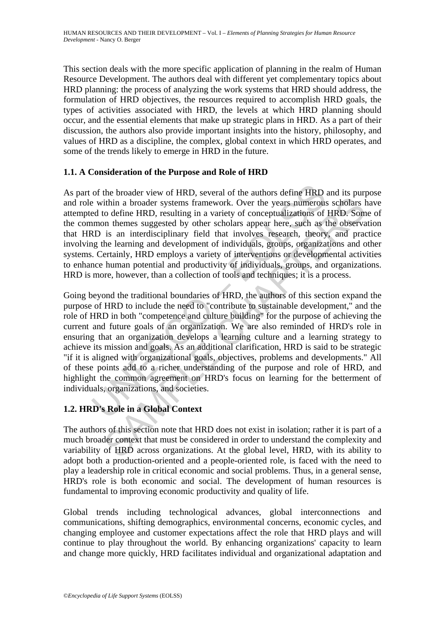This section deals with the more specific application of planning in the realm of Human Resource Development. The authors deal with different yet complementary topics about HRD planning: the process of analyzing the work systems that HRD should address, the formulation of HRD objectives, the resources required to accomplish HRD goals, the types of activities associated with HRD, the levels at which HRD planning should occur, and the essential elements that make up strategic plans in HRD. As a part of their discussion, the authors also provide important insights into the history, philosophy, and values of HRD as a discipline, the complex, global context in which HRD operates, and some of the trends likely to emerge in HRD in the future.

## **1.1. A Consideration of the Purpose and Role of HRD**

As part of the broader view of HRD, several of the authors define HRD and its purpose and role within a broader systems framework. Over the years numerous scholars have attempted to define HRD, resulting in a variety of conceptualizations of HRD. Some of the common themes suggested by other scholars appear here, such as the observation that HRD is an interdisciplinary field that involves research, theory, and practice involving the learning and development of individuals, groups, organizations and other systems. Certainly, HRD employs a variety of interventions or developmental activities to enhance human potential and productivity of individuals, groups, and organizations. HRD is more, however, than a collection of tools and techniques; it is a process.

of the broader view of HRD, several of the authors define HRD e within a broader systems framework. Over the years numeroused to define HRD, resulting in a variety of conceptualizations of mmon themes suggested by other sc ithin a broader systems framework. Over the years numerons scholars is<br>thin a broader systems framework. Over the years numerons scholars l<br>to define HRD, resulting in a variety of conceptualizations of HRD. Som<br>on themes Going beyond the traditional boundaries of HRD, the authors of this section expand the purpose of HRD to include the need to "contribute to sustainable development," and the role of HRD in both "competence and culture building" for the purpose of achieving the current and future goals of an organization. We are also reminded of HRD's role in ensuring that an organization develops a learning culture and a learning strategy to achieve its mission and goals. As an additional clarification, HRD is said to be strategic "if it is aligned with organizational goals, objectives, problems and developments." All of these points add to a richer understanding of the purpose and role of HRD, and highlight the common agreement on HRD's focus on learning for the betterment of individuals, organizations, and societies.

## **1.2. HRD's Role in a Global Context**

The authors of this section note that HRD does not exist in isolation; rather it is part of a much broader context that must be considered in order to understand the complexity and variability of HRD across organizations. At the global level, HRD, with its ability to adopt both a production-oriented and a people-oriented role, is faced with the need to play a leadership role in critical economic and social problems. Thus, in a general sense, HRD's role is both economic and social. The development of human resources is fundamental to improving economic productivity and quality of life.

Global trends including technological advances, global interconnections and communications, shifting demographics, environmental concerns, economic cycles, and changing employee and customer expectations affect the role that HRD plays and will continue to play throughout the world. By enhancing organizations' capacity to learn and change more quickly, HRD facilitates individual and organizational adaptation and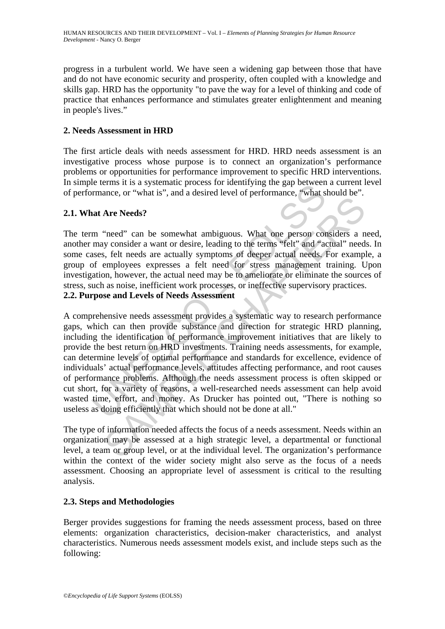progress in a turbulent world. We have seen a widening gap between those that have and do not have economic security and prosperity, often coupled with a knowledge and skills gap. HRD has the opportunity "to pave the way for a level of thinking and code of practice that enhances performance and stimulates greater enlightenment and meaning in people's lives."

### **2. Needs Assessment in HRD**

The first article deals with needs assessment for HRD. HRD needs assessment is an investigative process whose purpose is to connect an organization's performance problems or opportunities for performance improvement to specific HRD interventions. In simple terms it is a systematic process for identifying the gap between a current level of performance, or "what is", and a desired level of performance, "what should be".

#### **2.1. What Are Needs?**

The term "need" can be somewhat ambiguous. What one person considers a need, another may consider a want or desire, leading to the terms "felt" and "actual" needs. In some cases, felt needs are actually symptoms of deeper actual needs. For example, a group of employees expresses a felt need for stress management training. Upon investigation, however, the actual need may be to ameliorate or eliminate the sources of stress, such as noise, inefficient work processes, or ineffective supervisory practices.

#### **2.2. Purpose and Levels of Needs Assessment**

is the same provide substance of the means and a comparison of the same of the decision of the same of the same of the same of the same of the same of the same of the same of the same sy consider a want or desired the ecol The Needs?<br>
"heed" can be somewhat ambiguous. What one person considers a ny consider a want or desire, leading to the terms "felt" and "actual" need<br>
s, felt needs are actually symptoms of deeper actual needs, For examp<br> A comprehensive needs assessment provides a systematic way to research performance gaps, which can then provide substance and direction for strategic HRD planning, including the identification of performance improvement initiatives that are likely to provide the best return on HRD investments. Training needs assessments, for example, can determine levels of optimal performance and standards for excellence, evidence of individuals' actual performance levels, attitudes affecting performance, and root causes of performance problems. Although the needs assessment process is often skipped or cut short, for a variety of reasons, a well-researched needs assessment can help avoid wasted time, effort, and money. As Drucker has pointed out, "There is nothing so useless as doing efficiently that which should not be done at all."

The type of information needed affects the focus of a needs assessment. Needs within an organization may be assessed at a high strategic level, a departmental or functional level, a team or group level, or at the individual level. The organization's performance within the context of the wider society might also serve as the focus of a needs assessment. Choosing an appropriate level of assessment is critical to the resulting analysis.

#### **2.3. Steps and Methodologies**

Berger provides suggestions for framing the needs assessment process, based on three elements: organization characteristics, decision-maker characteristics, and analyst characteristics. Numerous needs assessment models exist, and include steps such as the following: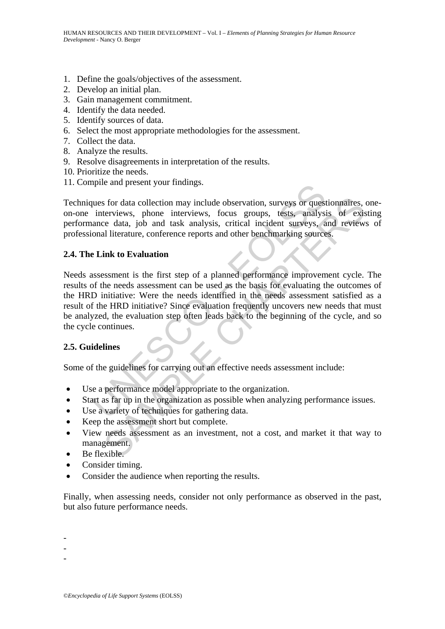- 1. Define the goals/objectives of the assessment.
- 2. Develop an initial plan.
- 3. Gain management commitment.
- 4. Identify the data needed.
- 5. Identify sources of data.
- 6. Select the most appropriate methodologies for the assessment.
- 7. Collect the data.
- 8. Analyze the results.
- 9. Resolve disagreements in interpretation of the results.
- 10. Prioritize the needs.
- 11. Compile and present your findings.

Techniques for data collection may include observation, surveys or questionnaires, oneon-one interviews, phone interviews, focus groups, tests, analysis of existing performance data, job and task analysis, critical incident surveys, and reviews of professional literature, conference reports and other benchmarking sources.

#### **2.4. The Link to Evaluation**

ques for data collection may include observation, surveys or quest<br>interviews, phone interviews, focus groups, tests, analysis<br>ance data, job and task analysis, critical incident surveys, a<br>onal literature, conference repo If the other and the original and the original and the series with the series with the same series with the same series of a singly is of exists e data, job and task analysis, critical incident surveys, and review.<br>In lite Needs assessment is the first step of a planned performance improvement cycle. The results of the needs assessment can be used as the basis for evaluating the outcomes of the HRD initiative: Were the needs identified in the needs assessment satisfied as a result of the HRD initiative? Since evaluation frequently uncovers new needs that must be analyzed, the evaluation step often leads back to the beginning of the cycle, and so the cycle continues.

#### **2.5. Guidelines**

Some of the guidelines for carrying out an effective needs assessment include:

- Use a performance model appropriate to the organization.
- Start as far up in the organization as possible when analyzing performance issues.
- Use a variety of techniques for gathering data.
- Keep the assessment short but complete.
- View needs assessment as an investment, not a cost, and market it that way to management.
- Be flexible.
- Consider timing.
- Consider the audience when reporting the results.

Finally, when assessing needs, consider not only performance as observed in the past, but also future performance needs.

-

- -
- -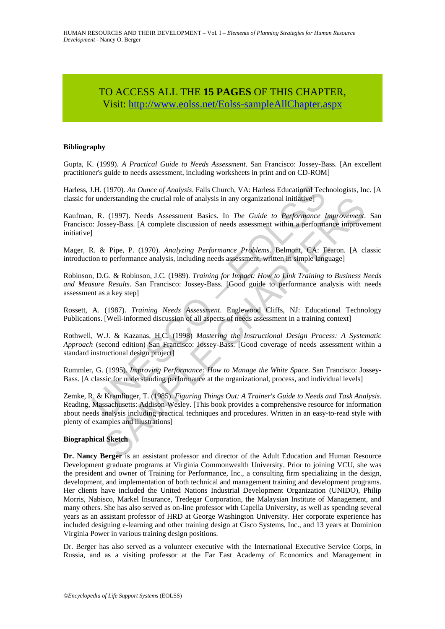# TO ACCESS ALL THE **15 PAGES** OF THIS CHAPTER, Visi[t: http://www.eolss.net/Eolss-sampleAllChapter.aspx](https://www.eolss.net/ebooklib/sc_cart.aspx?File=E1-10-02)

#### **Bibliography**

Gupta, K. (1999). *A Practical Guide to Needs Assessment*. San Francisco: Jossey-Bass. [An excellent practitioner's guide to needs assessment, including worksheets in print and on CD-ROM]

Harless, J.H. (1970). *An Ounce of Analysis*. Falls Church, VA: Harless Educational Technologists, Inc. [A classic for understanding the crucial role of analysis in any organizational initiative]

Kaufman, R. (1997). Needs Assessment Basics. In *The Guide to Performance Improvement*. San Francisco: Jossey-Bass. [A complete discussion of needs assessment within a performance improvement initiative]

Mager, R. & Pipe, P. (1970). *Analyzing Performance Problems*. Belmont, CA: Fearon. [A classic introduction to performance analysis, including needs assessment, written in simple language]

Robinson, D.G. & Robinson, J.C. (1989). *Training for Impact: How to Link Training to Business Needs and Measure Results*. San Francisco: Jossey-Bass. [Good guide to performance analysis with needs assessment as a key step]

Rossett, A. (1987). *Training Needs Assessment*. Englewood Cliffs, NJ: Educational Technology Publications. [Well-informed discussion of all aspects of needs assessment in a training context]

Rothwell, W.J. & Kazanas, H.C. (1998) *Mastering the Instructional Design Process: A Systematic Approach* (second edition) San Francisco: Jossey-Bass. [Good coverage of needs assessment within a standard instructional design project]

Rummler, G. (1995). *Improving Performance: How to Manage the White Space*. San Francisco: Jossey-Bass. [A classic for understanding performance at the organizational, process, and individual levels]

J.H. (1970). An Ounce of Analysis. Falls Church, VA: Harless Educational Technuler understanding the crucial role of analysis in any organizational initiative]<br>
1. R. (1997). Needs Assessment Basics. In *The Guide to Perfo* derstanding the crucial role of analysis in any organizational initiative]<br>
(1997). Needs Assessment Basics. In *The Guide to Performance Improvement*<br>
ssey-Bass. [A complete discussion of needs assessment within a perform Zemke, R. & Kramlinger, T. (1985). *Figuring Things Out: A Trainer's Guide to Needs and Task Analysis*. Reading, Massachusetts: Addison-Wesley. [This book provides a comprehensive resource for information about needs analysis including practical techniques and procedures. Written in an easy-to-read style with plenty of examples and illustrations]

#### **Biographical Sketch**

**Dr. Nancy Berger** is an assistant professor and director of the Adult Education and Human Resource Development graduate programs at Virginia Commonwealth University. Prior to joining VCU, she was the president and owner of Training for Performance, Inc., a consulting firm specializing in the design, development, and implementation of both technical and management training and development programs. Her clients have included the United Nations Industrial Development Organization (UNIDO), Philip Morris, Nabisco, Markel Insurance, Tredegar Corporation, the Malaysian Institute of Management, and many others. She has also served as on-line professor with Capella University, as well as spending several years as an assistant professor of HRD at George Washington University. Her corporate experience has included designing e-learning and other training design at Cisco Systems, Inc., and 13 years at Dominion Virginia Power in various training design positions.

Dr. Berger has also served as a volunteer executive with the International Executive Service Corps, in Russia, and as a visiting professor at the Far East Academy of Economics and Management in